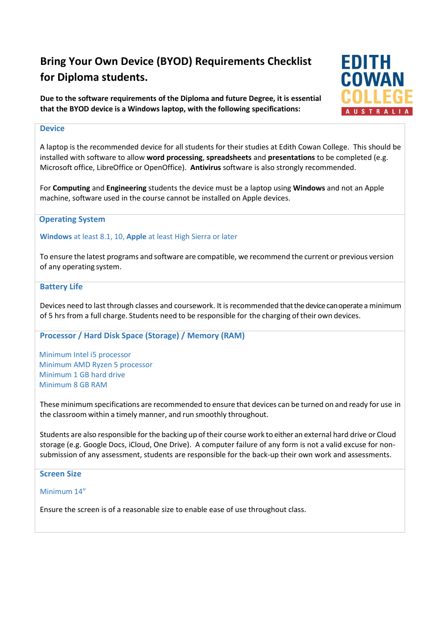# **Bring Your Own Device (BYOD) Requirements Checklist for Diploma students.**

**Due to the software requirements of the Diploma and future Degree, it is essential that the BYOD device is a Windows laptop, with the following specifications:**

# **Device**

A laptop is the recommended device for all students for their studies at Edith Cowan College. This should be installed with software to allow **word processing**, **spreadsheets** and **presentations** to be completed (e.g. Microsoft office, LibreOffice or OpenOffice). **Antivirus** software is also strongly recommended.

For **Computing** and **Engineering** students the device must be a laptop using **Windows** and not an Apple machine, software used in the course cannot be installed on Apple devices.

### **Operating System**

**Windows** at least 8.1, 10, **Apple** at least High Sierra or later

To ensure the latest programs and software are compatible, we recommend the current or previous version of any operating system.

### **Battery Life**

Devices need to last through classes and coursework. It is recommended that the device can operate a minimum of 5 hrs from a full charge. Students need to be responsible for the charging of their own devices.

### **Processor / Hard Disk Space (Storage) / Memory (RAM)**

Minimum Intel i5 processor Minimum AMD Ryzen 5 processor Minimum 1 GB hard drive Minimum 8 GB RAM

Theseminimum specifications are recommended to ensure that devices can be turned on and ready for use in the classroom within a timely manner, and run smoothly throughout.

Students are also responsible forthe backing up oftheir course work to either an external hard drive or Cloud storage (e.g. Google Docs, iCloud, One Drive). A computer failure of any form is not a valid excuse for nonsubmission of any assessment, students are responsible for the back-up their own work and assessments.

# **Screen Size**

Minimum 14"

Ensure the screen is of a reasonable size to enable ease of use throughout class.